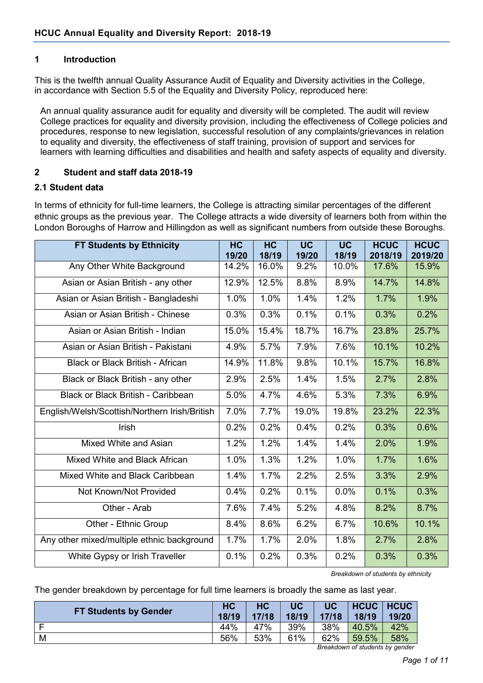#### **1 Introduction**

This is the twelfth annual Quality Assurance Audit of Equality and Diversity activities in the College, in accordance with Section 5.5 of the Equality and Diversity Policy, reproduced here:

An annual quality assurance audit for equality and diversity will be completed. The audit will review College practices for equality and diversity provision, including the effectiveness of College policies and procedures, response to new legislation, successful resolution of any complaints/grievances in relation to equality and diversity, the effectiveness of staff training, provision of support and services for learners with learning difficulties and disabilities and health and safety aspects of equality and diversity.

#### **2 Student and staff data 2018-19**

#### **2.1 Student data**

In terms of ethnicity for full-time learners, the College is attracting similar percentages of the different ethnic groups as the previous year. The College attracts a wide diversity of learners both from within the London Boroughs of Harrow and Hillingdon as well as significant numbers from outside these Boroughs.

| <b>FT Students by Ethnicity</b>               | <b>HC</b><br>19/20 | <b>HC</b><br>18/19 | <b>UC</b><br>19/20 | <b>UC</b><br>18/19 | <b>HCUC</b><br>2018/19 | <b>HCUC</b><br>2019/20 |
|-----------------------------------------------|--------------------|--------------------|--------------------|--------------------|------------------------|------------------------|
| Any Other White Background                    | 14.2%              | 16.0%              | 9.2%               | 10.0%              | 17.6%                  | 15.9%                  |
| Asian or Asian British - any other            | 12.9%              | 12.5%              | 8.8%               | 8.9%               | 14.7%                  | 14.8%                  |
| Asian or Asian British - Bangladeshi          | 1.0%               | 1.0%               | 1.4%               | 1.2%               | 1.7%                   | 1.9%                   |
| Asian or Asian British - Chinese              | 0.3%               | 0.3%               | 0.1%               | 0.1%               | 0.3%                   | 0.2%                   |
| Asian or Asian British - Indian               | 15.0%              | 15.4%              | 18.7%              | 16.7%              | 23.8%                  | 25.7%                  |
| Asian or Asian British - Pakistani            | 4.9%               | 5.7%               | 7.9%               | 7.6%               | 10.1%                  | 10.2%                  |
| <b>Black or Black British - African</b>       | 14.9%              | 11.8%              | 9.8%               | 10.1%              | 15.7%                  | 16.8%                  |
| Black or Black British - any other            | 2.9%               | 2.5%               | 1.4%               | 1.5%               | 2.7%                   | 2.8%                   |
| Black or Black British - Caribbean            | 5.0%               | 4.7%               | 4.6%               | 5.3%               | 7.3%                   | 6.9%                   |
| English/Welsh/Scottish/Northern Irish/British | 7.0%               | 7.7%               | 19.0%              | 19.8%              | 23.2%                  | 22.3%                  |
| Irish                                         | 0.2%               | 0.2%               | 0.4%               | 0.2%               | 0.3%                   | 0.6%                   |
| Mixed White and Asian                         | 1.2%               | 1.2%               | 1.4%               | 1.4%               | 2.0%                   | 1.9%                   |
| Mixed White and Black African                 | 1.0%               | 1.3%               | 1.2%               | 1.0%               | 1.7%                   | 1.6%                   |
| Mixed White and Black Caribbean               | 1.4%               | 1.7%               | 2.2%               | 2.5%               | 3.3%                   | 2.9%                   |
| Not Known/Not Provided                        | 0.4%               | 0.2%               | 0.1%               | 0.0%               | 0.1%                   | 0.3%                   |
| Other - Arab                                  | 7.6%               | 7.4%               | 5.2%               | 4.8%               | 8.2%                   | 8.7%                   |
| Other - Ethnic Group                          | 8.4%               | 8.6%               | 6.2%               | 6.7%               | 10.6%                  | 10.1%                  |
| Any other mixed/multiple ethnic background    | 1.7%               | 1.7%               | 2.0%               | 1.8%               | 2.7%                   | 2.8%                   |
| White Gypsy or Irish Traveller                | 0.1%               | 0.2%               | 0.3%               | 0.2%               | 0.3%                   | 0.3%                   |

*Breakdown of students by ethnicity*

The gender breakdown by percentage for full time learners is broadly the same as last year.

| <b>FT Students by Gender</b> | HC<br>18/19 | <b>HC</b><br>17/18 | <b>UC</b><br>18/19 | <b>UC</b><br>17/18 | HCUC   HCUC<br>18/19 | 19/20 |
|------------------------------|-------------|--------------------|--------------------|--------------------|----------------------|-------|
| F                            | 44%         | 47%                | 39%                | 38%                | 40.5%                | 42%   |
| M                            | 56%         | 53%                | 61%                | 62%                | 59.5%                | 58%   |

*Breakdown of students by gender*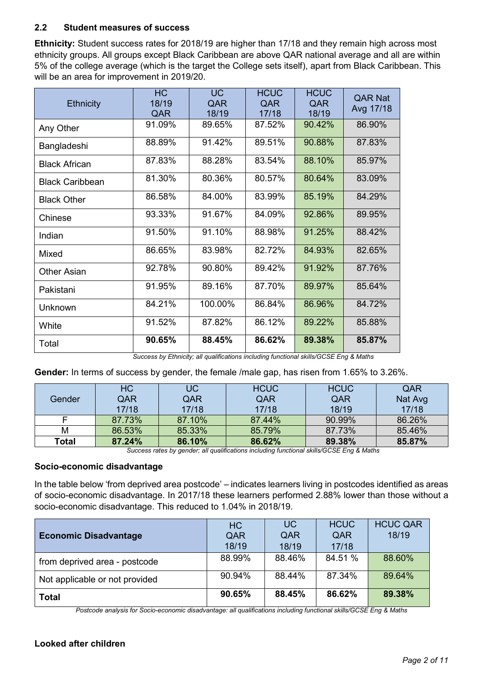## **2.2 Student measures of success**

**Ethnicity:** Student success rates for 2018/19 are higher than 17/18 and they remain high across most ethnicity groups. All groups except Black Caribbean are above QAR national average and all are within 5% of the college average (which is the target the College sets itself), apart from Black Caribbean. This will be an area for improvement in 2019/20.

| <b>Ethnicity</b>       | <b>HC</b><br>18/19<br>QAR | <b>UC</b><br>QAR<br>18/19 | <b>HCUC</b><br>QAR<br>17/18 | <b>HCUC</b><br><b>QAR</b><br>18/19 | <b>QAR Nat</b><br>Avg 17/18 |
|------------------------|---------------------------|---------------------------|-----------------------------|------------------------------------|-----------------------------|
| Any Other              | 91.09%                    | 89.65%                    | 87.52%                      | 90.42%                             | 86.90%                      |
| Bangladeshi            | 88.89%                    | 91.42%                    | 89.51%                      | 90.88%                             | 87.83%                      |
| <b>Black African</b>   | 87.83%                    | 88.28%                    | 83.54%                      | 88.10%                             | 85.97%                      |
| <b>Black Caribbean</b> | 81.30%                    | 80.36%                    | 80.57%                      | 80.64%                             | 83.09%                      |
| <b>Black Other</b>     | 86.58%                    | 84.00%                    | 83.99%                      | 85.19%                             | 84.29%                      |
| Chinese                | 93.33%                    | 91.67%                    | 84.09%                      | 92.86%                             | 89.95%                      |
| Indian                 | 91.50%                    | 91.10%                    | 88.98%                      | 91.25%                             | 88.42%                      |
| Mixed                  | 86.65%                    | 83.98%                    | 82.72%                      | 84.93%                             | 82.65%                      |
| <b>Other Asian</b>     | 92.78%                    | 90.80%                    | 89.42%                      | 91.92%                             | 87.76%                      |
| Pakistani              | 91.95%                    | 89.16%                    | 87.70%                      | 89.97%                             | 85.64%                      |
| Unknown                | 84.21%                    | 100.00%                   | 86.84%                      | 86.96%                             | 84.72%                      |
| White                  | 91.52%                    | 87.82%                    | 86.12%                      | 89.22%                             | 85.88%                      |
| Total                  | 90.65%                    | 88.45%                    | 86.62%                      | 89.38%                             | 85.87%                      |

*Success by Ethnicity; all qualifications including functional skills/GCSE Eng & Maths*

**Gender:** In terms of success by gender, the female /male gap, has risen from 1.65% to 3.26%.

|        | <b>HC</b> | <b>UC</b> | <b>HCUC</b> | <b>HCUC</b> | QAR     |
|--------|-----------|-----------|-------------|-------------|---------|
| Gender | QAR       | QAR       | QAR         | QAR         | Nat Avg |
|        | 17/18     | 17/18     | 17/18       | 18/19       | 17/18   |
|        | 87.73%    | 87.10%    | 87.44%      | 90.99%      | 86.26%  |
| М      | 86.53%    | 85.33%    | 85.79%      | 87.73%      | 85.46%  |
| Total  | 87.24%    | 86.10%    | 86.62%      | 89.38%      | 85.87%  |

*Success rates by gender; all qualifications including functional skills/GCSE Eng & Maths*

#### **Socio-economic disadvantage**

In the table below 'from deprived area postcode' – indicates learners living in postcodes identified as areas of socio-economic disadvantage. In 2017/18 these learners performed 2.88% lower than those without a socio-economic disadvantage. This reduced to 1.04% in 2018/19.

|                                | <b>HC</b> | <b>UC</b> | <b>HCUC</b> | <b>HCUC QAR</b> |
|--------------------------------|-----------|-----------|-------------|-----------------|
| <b>Economic Disadvantage</b>   | QAR       | QAR       | QAR         | 18/19           |
|                                | 18/19     | 18/19     | 17/18       |                 |
| from deprived area - postcode  | 88.99%    | 88.46%    | 84.51 %     | 88.60%          |
| Not applicable or not provided | 90.94%    | 88.44%    | 87.34%      | 89.64%          |
| <b>Total</b>                   | 90.65%    | 88.45%    | 86.62%      | 89.38%          |

*Postcode analysis for Socio-economic disadvantage: all qualifications including functional skills/GCSE Eng & Maths*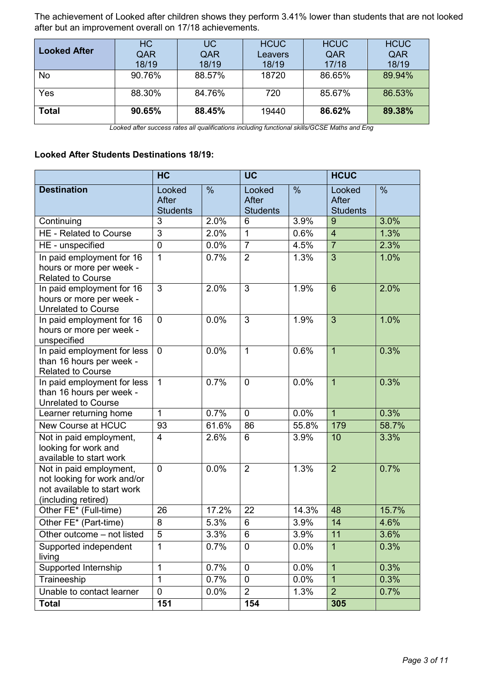The achievement of Looked after children shows they perform 3.41% lower than students that are not looked after but an improvement overall on 17/18 achievements.

| <b>Looked After</b> | <b>HC</b><br>QAR<br>18/19 | UC.<br>QAR<br>18/19 | <b>HCUC</b><br>Leavers<br>18/19 | <b>HCUC</b><br>QAR<br>17/18 | <b>HCUC</b><br>QAR<br>18/19 |
|---------------------|---------------------------|---------------------|---------------------------------|-----------------------------|-----------------------------|
| No                  | 90.76%                    | 88.57%              | 18720                           | 86.65%                      | 89.94%                      |
| Yes                 | 88.30%                    | 84.76%              | 720                             | 85.67%                      | 86.53%                      |
| <b>Total</b>        | 90.65%                    | 88.45%              | 19440                           | 86.62%                      | 89.38%                      |

*Looked after success rates all qualifications including functional skills/GCSE Maths and Eng*

#### **Looked After Students Destinations 18/19:**

|                                                                                                              | HC                                 |               | <b>UC</b>                          |                     | <b>HCUC</b>                        |       |
|--------------------------------------------------------------------------------------------------------------|------------------------------------|---------------|------------------------------------|---------------------|------------------------------------|-------|
| <b>Destination</b>                                                                                           | Looked<br>After<br><b>Students</b> | $\frac{0}{0}$ | Looked<br>After<br><b>Students</b> | $\frac{0}{0}$       | Looked<br>After<br><b>Students</b> | $\%$  |
| Continuing                                                                                                   | 3                                  | 2.0%          | 6                                  | 3.9%                | 9                                  | 3.0%  |
| <b>HE - Related to Course</b>                                                                                | 3                                  | 2.0%          | 1                                  | 0.6%                | $\overline{4}$                     | 1.3%  |
| HE - unspecified                                                                                             | $\mathbf 0$                        | 0.0%          | $\overline{7}$                     | 4.5%                | $\overline{7}$                     | 2.3%  |
| In paid employment for 16<br>hours or more per week -<br><b>Related to Course</b>                            | $\mathbf 1$                        | 0.7%          | $\overline{2}$                     | 1.3%                | $\overline{3}$                     | 1.0%  |
| In paid employment for 16<br>hours or more per week -<br><b>Unrelated to Course</b>                          | $\overline{3}$                     | 2.0%          | $\overline{3}$                     | 1.9%                | $\overline{6}$                     | 2.0%  |
| In paid employment for 16<br>hours or more per week -<br>unspecified                                         | $\overline{0}$                     | 0.0%          | $\overline{3}$                     | 1.9%                | $\overline{3}$                     | 1.0%  |
| In paid employment for less<br>than 16 hours per week -<br><b>Related to Course</b>                          | $\mathbf 0$                        | 0.0%          | $\mathbf{1}$                       | 0.6%                | $\overline{1}$                     | 0.3%  |
| In paid employment for less<br>than 16 hours per week -<br><b>Unrelated to Course</b>                        | $\mathbf{1}$                       | 0.7%          | $\overline{0}$                     | 0.0%                | $\overline{1}$                     | 0.3%  |
| Learner returning home                                                                                       | 1                                  | 0.7%          | $\overline{0}$                     | 0.0%                | $\overline{1}$                     | 0.3%  |
| <b>New Course at HCUC</b>                                                                                    | 93                                 | 61.6%         | 86                                 | 55.8%               | 179                                | 58.7% |
| Not in paid employment,<br>looking for work and<br>available to start work                                   | $\overline{4}$                     | 2.6%          | 6                                  | 3.9%                | 10                                 | 3.3%  |
| Not in paid employment,<br>not looking for work and/or<br>not available to start work<br>(including retired) | $\mathbf 0$                        | 0.0%          | $\overline{2}$                     | 1.3%                | $\overline{2}$                     | 0.7%  |
| Other FE* (Full-time)                                                                                        | 26                                 | 17.2%         | 22                                 | $14.\overline{3\%}$ | 48                                 | 15.7% |
| Other FE* (Part-time)                                                                                        | 8                                  | 5.3%          | 6                                  | 3.9%                | 14                                 | 4.6%  |
| Other outcome - not listed                                                                                   | $\overline{5}$                     | 3.3%          | $\overline{6}$                     | 3.9%                | 11                                 | 3.6%  |
| Supported independent<br>living                                                                              | 1                                  | 0.7%          | $\overline{0}$                     | 0.0%                | $\mathbf{1}$                       | 0.3%  |
| Supported Internship                                                                                         | 1                                  | 0.7%          | $\mathbf 0$                        | 0.0%                | $\overline{1}$                     | 0.3%  |
| Traineeship                                                                                                  | 1                                  | 0.7%          | $\mathbf 0$                        | 0.0%                | $\mathbf{1}$                       | 0.3%  |
| Unable to contact learner                                                                                    | $\mathbf 0$                        | 0.0%          | $\overline{2}$                     | 1.3%                | $\overline{2}$                     | 0.7%  |
| <b>Total</b>                                                                                                 | 151                                |               | 154                                |                     | 305                                |       |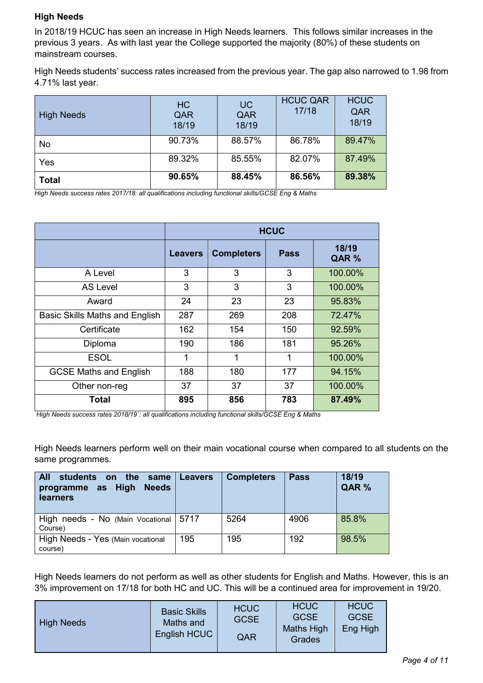## **High Needs**

In 2018/19 HCUC has seen an increase in High Needs learners. This follows similar increases in the previous 3 years. As with last year the College supported the majority (80%) of these students on mainstream courses.

High Needs students' success rates increased from the previous year. The gap also narrowed to 1.98 from 4.71% last year.

| <b>High Needs</b> | <b>HC</b><br>QAR<br>18/19 | <b>UC</b><br>QAR<br>18/19 | <b>HCUC QAR</b><br>17/18 | <b>HCUC</b><br>QAR<br>18/19 |
|-------------------|---------------------------|---------------------------|--------------------------|-----------------------------|
| No                | 90.73%                    | 88.57%                    | 86.78%                   | 89.47%                      |
| Yes               | 89.32%                    | 85.55%                    | 82.07%                   | 87.49%                      |
| <b>Total</b>      | 90.65%                    | 88.45%                    | 86.56%                   | 89.38%                      |

*High Needs success rates 2017/18: all qualifications including functional skills/GCSE Eng & Maths*

|                                       | <b>HCUC</b>    |                   |             |                |  |  |
|---------------------------------------|----------------|-------------------|-------------|----------------|--|--|
|                                       | <b>Leavers</b> | <b>Completers</b> | <b>Pass</b> | 18/19<br>QAR % |  |  |
| A Level                               | 3              | 3                 | 3           | 100.00%        |  |  |
| <b>AS Level</b>                       | 3              | 3                 | 3           | 100.00%        |  |  |
| Award                                 | 24             | 23                | 23          | 95.83%         |  |  |
| <b>Basic Skills Maths and English</b> | 287            | 269               | 208         | 72.47%         |  |  |
| Certificate                           | 162            | 154               | 150         | 92.59%         |  |  |
| Diploma                               | 190            | 186               | 181         | 95.26%         |  |  |
| <b>ESOL</b>                           | 1              | 1                 | 1           | 100.00%        |  |  |
| <b>GCSE Maths and English</b>         | 188            | 180               | 177         | 94.15%         |  |  |
| Other non-reg                         | 37             | 37                | 37          | 100.00%        |  |  |
| <b>Total</b>                          | 895            | 856               | 783         | 87.49%         |  |  |

*High Needs success rates 2018/19`: all qualifications including functional skills/GCSE Eng & Maths*

High Needs learners perform well on their main vocational course when compared to all students on the same programmes.

| <b>All</b><br>students on the same<br>programme as High<br><b>Needs</b><br>learners | <b>Leavers</b> | <b>Completers</b> | <b>Pass</b> | 18/19<br>QAR % |
|-------------------------------------------------------------------------------------|----------------|-------------------|-------------|----------------|
| High needs - No (Main Vocational   5717<br>Course)                                  |                | 5264              | 4906        | 85.8%          |
| High Needs - Yes (Main vocational<br>course)                                        | 195            | 195               | 192         | 98.5%          |

High Needs learners do not perform as well as other students for English and Maths. However, this is an 3% improvement on 17/18 for both HC and UC. This will be a continued area for improvement in 19/20.

| <b>High Needs</b> | <b>Basic Skills</b><br>Maths and<br>English HCUC | <b>HCUC</b><br><b>GCSE</b><br>QAR | <b>HCUC</b><br><b>GCSE</b><br><b>Maths High</b><br>Grades | <b>HCUC</b><br><b>GCSE</b><br>Eng High |
|-------------------|--------------------------------------------------|-----------------------------------|-----------------------------------------------------------|----------------------------------------|
|-------------------|--------------------------------------------------|-----------------------------------|-----------------------------------------------------------|----------------------------------------|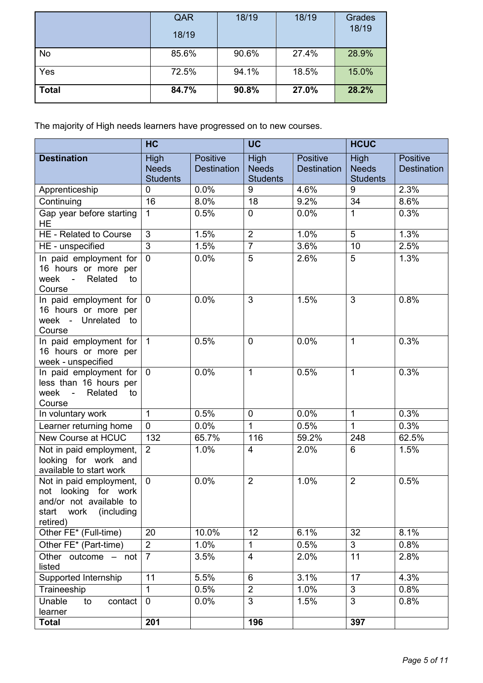|              | QAR<br>18/19 | 18/19 | 18/19 | Grades<br>18/19 |
|--------------|--------------|-------|-------|-----------------|
| No           | 85.6%        | 90.6% | 27.4% | 28.9%           |
| Yes          | 72.5%        | 94.1% | 18.5% | 15.0%           |
| <b>Total</b> | 84.7%        | 90.8% | 27.0% | 28.2%           |

The majority of High needs learners have progressed on to new courses.

|                                                                                                                        | <b>HC</b>                               |                                | <b>UC</b>                               |                                | <b>HCUC</b>                                    |                                |
|------------------------------------------------------------------------------------------------------------------------|-----------------------------------------|--------------------------------|-----------------------------------------|--------------------------------|------------------------------------------------|--------------------------------|
| <b>Destination</b>                                                                                                     | High<br><b>Needs</b><br><b>Students</b> | Positive<br><b>Destination</b> | High<br><b>Needs</b><br><b>Students</b> | Positive<br><b>Destination</b> | <b>High</b><br><b>Needs</b><br><b>Students</b> | Positive<br><b>Destination</b> |
| Apprenticeship                                                                                                         | $\Omega$                                | 0.0%                           | 9                                       | 4.6%                           | 9                                              | 2.3%                           |
| Continuing                                                                                                             | 16                                      | 8.0%                           | 18                                      | 9.2%                           | 34                                             | 8.6%                           |
| Gap year before starting<br>HE.                                                                                        | $\mathbf{1}$                            | 0.5%                           | $\mathbf 0$                             | 0.0%                           | $\mathbf{1}$                                   | 0.3%                           |
| HE - Related to Course                                                                                                 | 3                                       | 1.5%                           | $\overline{2}$                          | 1.0%                           | $\overline{5}$                                 | 1.3%                           |
| HE - unspecified                                                                                                       | $\overline{3}$                          | 1.5%                           | $\overline{7}$                          | 3.6%                           | 10                                             | 2.5%                           |
| In paid employment for<br>16 hours or more per<br>week - Related<br>to<br>Course                                       | $\overline{0}$                          | 0.0%                           | $\overline{5}$                          | 2.6%                           | 5                                              | 1.3%                           |
| In paid employment for<br>16 hours or more per<br>week - Unrelated to<br>Course                                        | $\mathbf 0$                             | 0.0%                           | 3                                       | 1.5%                           | 3                                              | 0.8%                           |
| In paid employment for<br>16 hours or more per<br>week - unspecified                                                   | $\overline{1}$                          | 0.5%                           | $\overline{0}$                          | 0.0%                           | $\mathbf{1}$                                   | 0.3%                           |
| In paid employment for<br>less than 16 hours per<br>week -<br>Related<br>to<br>Course                                  | $\mathbf{0}$                            | 0.0%                           | 1                                       | 0.5%                           | $\mathbf{1}$                                   | 0.3%                           |
| In voluntary work                                                                                                      | $\mathbf{1}$                            | 0.5%                           | $\overline{0}$                          | 0.0%                           | $\mathbf{1}$                                   | 0.3%                           |
| Learner returning home                                                                                                 | $\mathbf 0$                             | 0.0%                           | $\mathbf{1}$                            | 0.5%                           | $\mathbf{1}$                                   | 0.3%                           |
| New Course at HCUC                                                                                                     | 132                                     | 65.7%                          | $\overline{1}16$                        | 59.2%                          | 248                                            | 62.5%                          |
| Not in paid employment,<br>looking for work and<br>available to start work                                             | 2                                       | 1.0%                           | $\overline{4}$                          | 2.0%                           | 6                                              | 1.5%                           |
| Not in paid employment,<br>not looking for work<br>and/or not available to<br>start<br>work<br>(including)<br>retired) | $\mathbf 0$                             | 0.0%                           | $\overline{2}$                          | 1.0%                           | $\overline{2}$                                 | 0.5%                           |
| Other FE* (Full-time)                                                                                                  | 20                                      | 10.0%                          | 12                                      | 6.1%                           | 32                                             | 8.1%                           |
| Other FE* (Part-time)                                                                                                  | $\overline{2}$                          | 1.0%                           | $\mathbf{1}$                            | 0.5%                           | 3                                              | 0.8%                           |
| Other outcome - not<br>listed                                                                                          | $\overline{7}$                          | 3.5%                           | 4                                       | 2.0%                           | 11                                             | 2.8%                           |
| Supported Internship                                                                                                   | 11                                      | 5.5%                           | $6\phantom{1}$                          | 3.1%                           | 17                                             | 4.3%                           |
| Traineeship                                                                                                            | $\mathbf{1}$                            | 0.5%                           | $\overline{2}$                          | 1.0%                           | 3                                              | 0.8%                           |
| Unable<br>contact<br>to<br>learner                                                                                     | $\mathbf 0$                             | 0.0%                           | 3                                       | 1.5%                           | 3                                              | 0.8%                           |
| <b>Total</b>                                                                                                           | 201                                     |                                | 196                                     |                                | 397                                            |                                |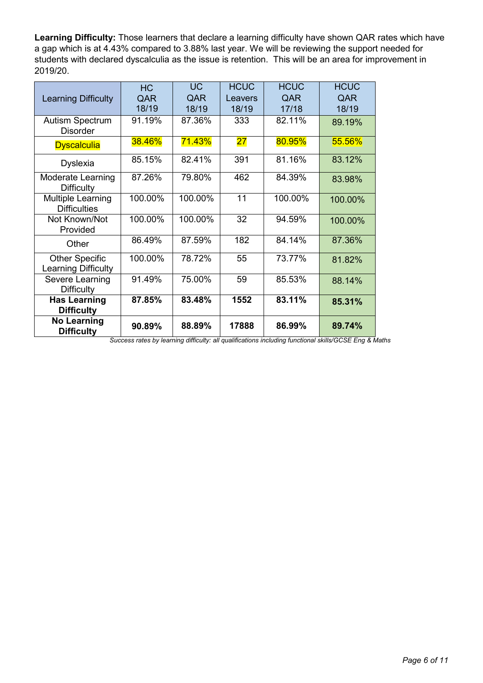**Learning Difficulty:** Those learners that declare a learning difficulty have shown QAR rates which have a gap which is at 4.43% compared to 3.88% last year. We will be reviewing the support needed for students with declared dyscalculia as the issue is retention. This will be an area for improvement in 2019/20.

|                                                     | <b>HC</b> | <b>UC</b> | <b>HCUC</b> | <b>HCUC</b> | <b>HCUC</b> |
|-----------------------------------------------------|-----------|-----------|-------------|-------------|-------------|
| <b>Learning Difficulty</b>                          | QAR       | QAR       | Leavers     | QAR         | QAR         |
|                                                     | 18/19     | 18/19     | 18/19       | 17/18       | 18/19       |
| <b>Autism Spectrum</b><br><b>Disorder</b>           | 91.19%    | 87.36%    | 333         | 82.11%      | 89.19%      |
| <b>Dyscalculia</b>                                  | 38.46%    | 71.43%    | 27          | 80.95%      | 55.56%      |
| <b>Dyslexia</b>                                     | 85.15%    | 82.41%    | 391         | 81.16%      | 83.12%      |
| <b>Moderate Learning</b><br><b>Difficulty</b>       | 87.26%    | 79.80%    | 462         | 84.39%      | 83.98%      |
| <b>Multiple Learning</b><br><b>Difficulties</b>     | 100.00%   | 100.00%   | 11          | 100.00%     | 100.00%     |
| Not Known/Not<br>Provided                           | 100.00%   | 100.00%   | 32          | 94.59%      | 100.00%     |
| Other                                               | 86.49%    | 87.59%    | 182         | 84.14%      | 87.36%      |
| <b>Other Specific</b><br><b>Learning Difficulty</b> | 100.00%   | 78.72%    | 55          | 73.77%      | 81.82%      |
| Severe Learning<br><b>Difficulty</b>                | 91.49%    | 75.00%    | 59          | 85.53%      | 88.14%      |
| <b>Has Learning</b><br><b>Difficulty</b>            | 87.85%    | 83.48%    | 1552        | 83.11%      | 85.31%      |
| <b>No Learning</b><br><b>Difficulty</b>             | 90.89%    | 88.89%    | 17888       | 86.99%      | 89.74%      |

*Success rates by learning difficulty: all qualifications including functional skills/GCSE Eng & Maths*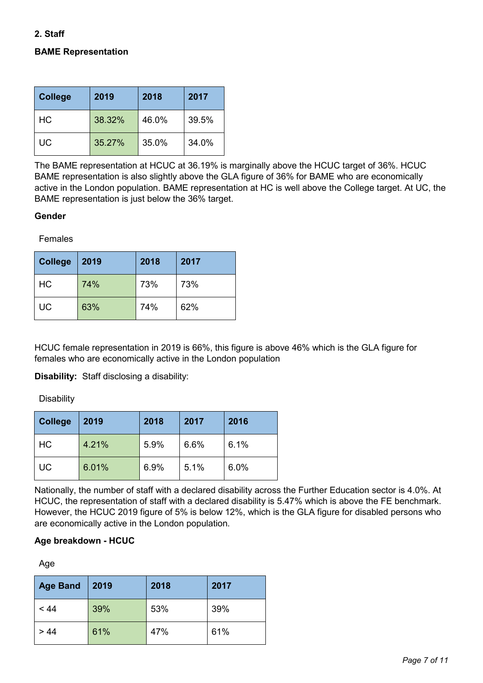## **2. Staff**

# **BAME Representation**

| <b>College</b> | 2019   | 2018  | 2017  |
|----------------|--------|-------|-------|
| <b>HC</b>      | 38.32% | 46.0% | 39.5% |
| UC             | 35.27% | 35.0% | 34.0% |

The BAME representation at HCUC at 36.19% is marginally above the HCUC target of 36%. HCUC BAME representation is also slightly above the GLA figure of 36% for BAME who are economically active in the London population. BAME representation at HC is well above the College target. At UC, the BAME representation is just below the 36% target.

#### **Gender**

Females

| <b>College</b> | 2019 | 2018 | 2017 |
|----------------|------|------|------|
| HC             | 74%  | 73%  | 73%  |
| <b>UC</b>      | 63%  | 74%  | 62%  |

HCUC female representation in 2019 is 66%, this figure is above 46% which is the GLA figure for females who are economically active in the London population

**Disability:** Staff disclosing a disability:

**Disability** 

| <b>College</b> | 2019  | 2018 | 2017 | 2016 |
|----------------|-------|------|------|------|
| <b>HC</b>      | 4.21% | 5.9% | 6.6% | 6.1% |
| <b>UC</b>      | 6.01% | 6.9% | 5.1% | 6.0% |

Nationally, the number of staff with a declared disability across the Further Education sector is 4.0%. At HCUC, the representation of staff with a declared disability is 5.47% which is above the FE benchmark. However, the HCUC 2019 figure of 5% is below 12%, which is the GLA figure for disabled persons who are economically active in the London population.

#### **Age breakdown - HCUC**

Age

| <b>Age Band</b> | 2019 | 2018 | 2017 |
|-----------------|------|------|------|
| < 44            | 39%  | 53%  | 39%  |
| > 44            | 61%  | 47%  | 61%  |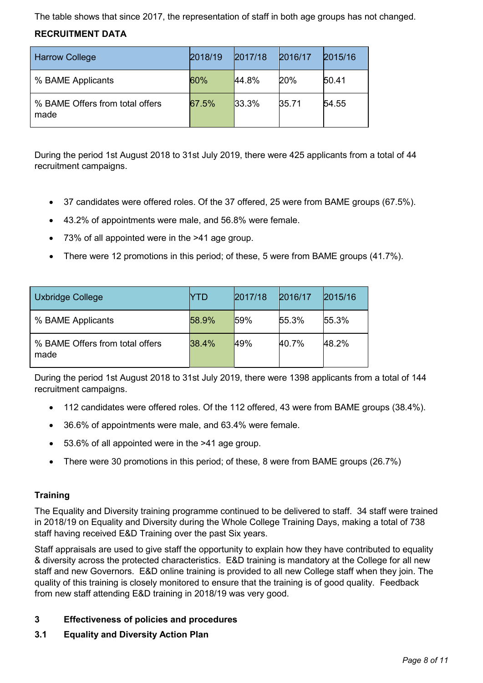The table shows that since 2017, the representation of staff in both age groups has not changed.

# **RECRUITMENT DATA**

| <b>Harrow College</b>                   | 2018/19 | 2017/18 | 2016/17 | 2015/16 |
|-----------------------------------------|---------|---------|---------|---------|
| % BAME Applicants                       | 60%     | 44.8%   | 20%     | 50.41   |
| % BAME Offers from total offers<br>made | 67.5%   | 33.3%   | 35.71   | 54.55   |

During the period 1st August 2018 to 31st July 2019, there were 425 applicants from a total of 44 recruitment campaigns.

- 37 candidates were offered roles. Of the 37 offered, 25 were from BAME groups (67.5%).
- 43.2% of appointments were male, and 56.8% were female.
- 73% of all appointed were in the >41 age group.
- There were 12 promotions in this period; of these, 5 were from BAME groups (41.7%).

| Uxbridge College                        | YTD   | 2017/18 | 2016/17 | 2015/16 |
|-----------------------------------------|-------|---------|---------|---------|
| % BAME Applicants                       | 58.9% | 59%     | 55.3%   | 55.3%   |
| % BAME Offers from total offers<br>made | 38.4% | 49%     | 40.7%   | 48.2%   |

During the period 1st August 2018 to 31st July 2019, there were 1398 applicants from a total of 144 recruitment campaigns.

- 112 candidates were offered roles. Of the 112 offered, 43 were from BAME groups (38.4%).
- 36.6% of appointments were male, and 63.4% were female.
- 53.6% of all appointed were in the >41 age group.
- There were 30 promotions in this period; of these, 8 were from BAME groups (26.7%)

# **Training**

The Equality and Diversity training programme continued to be delivered to staff. 34 staff were trained in 2018/19 on Equality and Diversity during the Whole College Training Days, making a total of 738 staff having received E&D Training over the past Six years.

Staff appraisals are used to give staff the opportunity to explain how they have contributed to equality & diversity across the protected characteristics. E&D training is mandatory at the College for all new staff and new Governors. E&D online training is provided to all new College staff when they join. The quality of this training is closely monitored to ensure that the training is of good quality. Feedback from new staff attending E&D training in 2018/19 was very good.

# **3 Effectiveness of policies and procedures**

**3.1 Equality and Diversity Action Plan**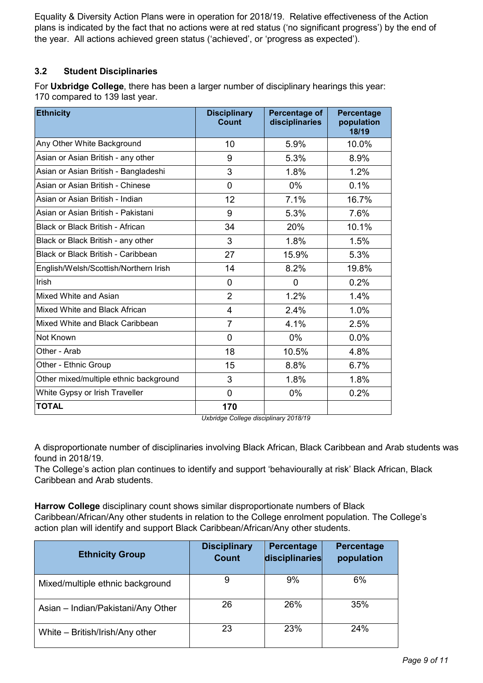Equality & Diversity Action Plans were in operation for 2018/19. Relative effectiveness of the Action plans is indicated by the fact that no actions were at red status ('no significant progress') by the end of the year. All actions achieved green status ('achieved', or 'progress as expected').

# **3.2 Student Disciplinaries**

For **Uxbridge College**, there has been a larger number of disciplinary hearings this year: 170 compared to 139 last year.

| <b>Ethnicity</b>                       | <b>Disciplinary</b><br>Count | Percentage of<br>disciplinaries | Percentage<br>population<br>18/19 |
|----------------------------------------|------------------------------|---------------------------------|-----------------------------------|
| Any Other White Background             | 10                           | 5.9%                            | 10.0%                             |
| Asian or Asian British - any other     | 9                            | 5.3%                            | 8.9%                              |
| Asian or Asian British - Bangladeshi   | 3                            | 1.8%                            | 1.2%                              |
| Asian or Asian British - Chinese       | $\Omega$                     | $0\%$                           | 0.1%                              |
| Asian or Asian British - Indian        | 12                           | 7.1%                            | 16.7%                             |
| Asian or Asian British - Pakistani     | 9                            | 5.3%                            | 7.6%                              |
| Black or Black British - African       | 34                           | 20%                             | 10.1%                             |
| Black or Black British - any other     | 3                            | 1.8%                            | 1.5%                              |
| Black or Black British - Caribbean     | 27                           | 15.9%                           | 5.3%                              |
| English/Welsh/Scottish/Northern Irish  | 14                           | 8.2%                            | 19.8%                             |
| Irish                                  | $\mathbf{0}$                 | $\overline{0}$                  | 0.2%                              |
| Mixed White and Asian                  | $\overline{2}$               | 1.2%                            | 1.4%                              |
| Mixed White and Black African          | $\overline{4}$               | 2.4%                            | 1.0%                              |
| Mixed White and Black Caribbean        | $\overline{7}$               | 4.1%                            | 2.5%                              |
| Not Known                              | $\mathbf{0}$                 | $0\%$                           | 0.0%                              |
| Other - Arab                           | 18                           | 10.5%                           | 4.8%                              |
| Other - Ethnic Group                   | 15                           | 8.8%                            | 6.7%                              |
| Other mixed/multiple ethnic background | 3                            | 1.8%                            | 1.8%                              |
| White Gypsy or Irish Traveller         | $\mathbf 0$                  | 0%                              | 0.2%                              |
| <b>TOTAL</b>                           | 170                          |                                 |                                   |

*Uxbridge College disciplinary 2018/19*

A disproportionate number of disciplinaries involving Black African, Black Caribbean and Arab students was found in 2018/19.

The College's action plan continues to identify and support 'behaviourally at risk' Black African, Black Caribbean and Arab students.

**Harrow College** disciplinary count shows similar disproportionate numbers of Black Caribbean/African/Any other students in relation to the College enrolment population. The College's action plan will identify and support Black Caribbean/African/Any other students.

| <b>Ethnicity Group</b>             | <b>Disciplinary</b><br><b>Count</b> | Percentage<br>disciplinaries | Percentage<br>population |
|------------------------------------|-------------------------------------|------------------------------|--------------------------|
| Mixed/multiple ethnic background   | 9                                   | 9%                           | 6%                       |
| Asian - Indian/Pakistani/Any Other | 26                                  | 26%                          | 35%                      |
| White - British/Irish/Any other    | 23                                  | 23%                          | 24%                      |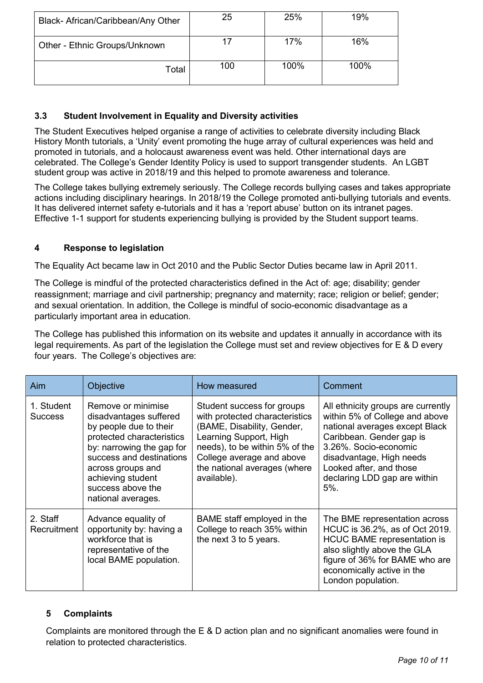| Black- African/Caribbean/Any Other | 25  | 25%  | 19%  |
|------------------------------------|-----|------|------|
| Other - Ethnic Groups/Unknown      | 17  | 17%  | 16%  |
| Total                              | 100 | 100% | 100% |

# **3.3 Student Involvement in Equality and Diversity activities**

The Student Executives helped organise a range of activities to celebrate diversity including Black History Month tutorials, a 'Unity' event promoting the huge array of cultural experiences was held and promoted in tutorials, and a holocaust awareness event was held. Other international days are celebrated. The College's Gender Identity Policy is used to support transgender students. An LGBT student group was active in 2018/19 and this helped to promote awareness and tolerance.

The College takes bullying extremely seriously. The College records bullying cases and takes appropriate actions including disciplinary hearings. In 2018/19 the College promoted anti-bullying tutorials and events. It has delivered internet safety e-tutorials and it has a 'report abuse' button on its intranet pages. Effective 1-1 support for students experiencing bullying is provided by the Student support teams.

# **4 Response to legislation**

The Equality Act became law in Oct 2010 and the Public Sector Duties became law in April 2011.

The College is mindful of the protected characteristics defined in the Act of: age; disability; gender reassignment; marriage and civil partnership; pregnancy and maternity; race; religion or belief; gender; and sexual orientation. In addition, the College is mindful of socio-economic disadvantage as a particularly important area in education.

The College has published this information on its website and updates it annually in accordance with its legal requirements. As part of the legislation the College must set and review objectives for E & D every four years. The College's objectives are:

| Aim                          | <b>Objective</b>                                                                                                                                                                                                                                  | How measured                                                                                                                                                                                                                       | Comment                                                                                                                                                                                                                                                      |
|------------------------------|---------------------------------------------------------------------------------------------------------------------------------------------------------------------------------------------------------------------------------------------------|------------------------------------------------------------------------------------------------------------------------------------------------------------------------------------------------------------------------------------|--------------------------------------------------------------------------------------------------------------------------------------------------------------------------------------------------------------------------------------------------------------|
| 1. Student<br><b>Success</b> | Remove or minimise<br>disadvantages suffered<br>by people due to their<br>protected characteristics<br>by: narrowing the gap for<br>success and destinations<br>across groups and<br>achieving student<br>success above the<br>national averages. | Student success for groups<br>with protected characteristics<br>(BAME, Disability, Gender,<br>Learning Support, High<br>needs), to be within 5% of the<br>College average and above<br>the national averages (where<br>available). | All ethnicity groups are currently<br>within 5% of College and above<br>national averages except Black<br>Caribbean. Gender gap is<br>3.26%. Socio-economic<br>disadvantage, High needs<br>Looked after, and those<br>declaring LDD gap are within<br>$5%$ . |
| 2. Staff<br>Recruitment      | Advance equality of<br>opportunity by: having a<br>workforce that is<br>representative of the<br>local BAME population.                                                                                                                           | BAME staff employed in the<br>College to reach 35% within<br>the next 3 to 5 years.                                                                                                                                                | The BME representation across<br>HCUC is 36.2%, as of Oct 2019.<br><b>HCUC BAME representation is</b><br>also slightly above the GLA<br>figure of 36% for BAME who are<br>economically active in the<br>London population.                                   |

## **5 Complaints**

Complaints are monitored through the E & D action plan and no significant anomalies were found in relation to protected characteristics.